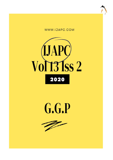





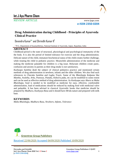

REVIEW ARTICLE www.ijapc.com

**e-ISSN 2350-0204**

# **Drug Administration during Childhood - Principles of Ayurveda Clinical Practice**

Devendra Kumar<sup>1\*</sup> and Shrinidhi Kumar K<sup>2</sup>

<sup>1,2</sup>P.G. Department of Kaumarbhritya, National Institute of Ayurveda, Jaipur, Rajasthan, India

### **ABSTRACT**

Childhood period is the state of structural, physiological and psychological immaturity of the the body. It is also the period of limited tolerance for exercise and the drug administration. Delicate nature of the child, immature biochemical status of the child creates further challenge, while treating the child in pediatric practice. Meanwhile administration of the medicine and making the medicine palatable for children is a big issue. Reluctant children create panic, confusion and anxiety in parents as their drug intake is not satisfactory.

*Kashyapa Samhita* dealt the subject of clinical pediatrics practice and mentioned certain methods of drug administration in newborn, infants and the older children. We also find such references in *Charaka Samhita* and *Laghu Trayis*. Some of the *Bhaishajja Kalpana* like *Mantha, Avaleha, Arka, Paneeya, Panaka, Ksheera paka*, etc can be modified to some extent and can be used as effective method of drug administration. As *Kashyapa* says *Ahara* as *Maha Bhaishajja*, food is needed to be modified as medicine for easy, effective, comfortable administration, load of medications should be reduced by making food with medicinal valve and palatable. It has been advised in classical Ayurvedic books that medicine should be prepared by *Madhura, Kashyaya Rasa* and it should have *Mridu* nature and prepared with milk base.

## **KEYWORDS**

*Maha Bhaishajja, Madhura Rasa, Newborn, Infants, Tolerance* 



Received 22/06/2020 Accepted 04/09/2020 Published 10/09/2020

 $\overline{\phantom{a}}$  , and the contribution of the contribution of the contribution of the contribution of the contribution of the contribution of the contribution of the contribution of the contribution of the contribution of the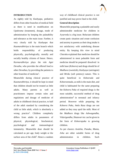

#### **INTRODUCTION**

As rightly told by *Kashyapa*, pediatrics differs from other branches of medical field as there is need in modification on *Upakrama* (treatment), dosage, mode of administration by keeping the palatability and tolerance as the main issue. Further, it very clearly told by *Kashyapa* that *Kaumarabhritya* is the main branch which holds responsibility of producing physically, psychologically, morally and socially healthy citizens of future. Hence, *Kurmarabhritya* plays the role *Agni Devatha*, who provides the offered food to other *Devathas*, by providing the patients to other branches of medicine<sup>1</sup>.

Meanwhile during clinical practice of *Kaumarabhritya*, it should be kept in mind that children should not be treated as little adults. Many parents as well as practitioners impose certain rules and regulations and dosage of medicine of adults in childhood clinical practice, to half of the adult standard by considering the child as little adult, which is absolutely a wrong practice<sup>2</sup>. Children completely differs from adults in parameters of physical, physiological, biochemical, psychological and immunological immaturity. Meanwhile dose should be calculated as per age, body weight or the surface area of the child<sup>3</sup>. Hence a random

way of childhood clinical practice is not justified and may prove fatal to the child.

#### **General description**

Meanwhile preparing a palatable and easily administrable medicine for children in Ayurveda is a big issue. Reluctant children create panic situation and create confusion and anxiety in parents as their drug intake is not satisfactory with underlining disease entity. By keeping this view in mind *Charaka* explained that medicine should be administered in most palatable form and medicine should be prepared/ dissolved in milk base (*Ksheera)* and drugs should be of *Madhura* (sweetish), *Kashyaya* (astringent) and *Mridu* (soft potency) nature. This is quite beneficial in *Ksheerada* and *Ksheerannada*, as milk is the main diet, and child is habituated for the same preparing the *Ksheera Paka* of required drugs is the most suitable, successful method of drug administration<sup>4</sup> in neonatal and infancy period. However while preparing the *Ksheera Paka, Amla Rasa* drugs are not added as they may spoil the milk. Most of the *Madhura* drugs like *Ashwagandha, Vidarigandha, Shatavari* etc can be given in the form of *Ksheerapaka* to growing children.

As per classics *Avaleha, Panaka, Manta, Arka* are other suitable forms of drug administration in children. Such

 $\mathcal{L}_\mathcal{L}$  , and the contribution of the contribution of the contribution of the contribution of the contribution of the contribution of the contribution of the contribution of the contribution of the contribution of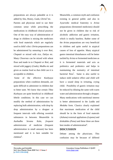

preparations are always palatable as it is added by *Sita*, Honey, *Guda*, *Ghrita*<sup>5</sup> etc. Parents and physician need to use their common sense while prescribing the medications in childhood clinical practice. One of the easy way of administration of drugs in children is mixing the medicines with food materials which are regularly used in child's diet. *Ghrita* preparations can be administered by smearing it over *Roti, Chapatti* or mixed with rice, *Daliya* etc. Many *Choornas* can be mixed with wheat flour and made in to *Chapatti or Roti*, and mixed with jaggery (*Guda*), *Madhu* etc and given as routine food so that child can it is acceptable to children.

Some of the effective *Kashyaya* preparations when condition demands, are quite difficult to administer in children due to bitter taste. We know that certain *Tikta Kashayas* are quite beneficial in childhood febrile conditions. In this case we can modify the method of administration by replacing bulk administration, with drop by drop administration by a dropper at frequent intervals with offering sweetish substances in between. Meanwhile in *Aushadha Sevana Kala*, *frequent administraion* of medicine (frequent administration in small amount) has been mentioned and it is best suitable for children<sup>6</sup>.

Meanwhile, a common myth and confusion existing in general public and also in Ayurvedic medical fraternity is *Arista* preparations (fermented medicines) should not be given in children due to risk of alcoholic addiction and gastric irritation, which is totally baseless. Rather some of the *Arista* preparations are very beneficial in children and quite useful in atypical causes of loss of appetite. Many atypical gastro intestinal disturbances will be better tackled by *Arista* or fermented medicines as it is fermented materials and acts as prebiotics and probiotics and helps in maintaining the normalcy of intestinal bacterial flora<sup>7</sup>. Same is also useful to induce mild sedative effect and child will have a sound sleep in irritating, crying child. Possibility of gastric irritation may be reduced by diluting the same with warm water and administration through a dropper. Many medications with nutritional interest is better administered in the *Laddu* and *Modaka* form. Classics clearly explained that maximum medication of the child should be in the form of food materals (*Ashana)* external appliations *(Lepana)* and drinkables *(Pana)* and these three are three best modes of administration<sup>8</sup>.

### **DISCUSSION**

 $\mathcal{L}_\mathcal{L}$  , and the contribution of the contribution of the contribution of the contribution of the contribution of the contribution of the contribution of the contribution of the contribution of the contribution of

Debate among the physicians. This confusion may be because of differed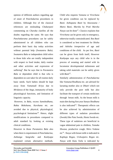

opinion of different authors regarding age of onset of *Panchakarma* procedures in children. Although few of the classical references are misleading *Chakarpani* commenting on *Charaka* clarifies all the doubts regarding the same. He says that *Panchakarama* procedures can be safely administered in all children who can perform their basic day today activities without parental help (*Swatantra Bala*). *Swatantra Bala* or independent child refers to those kids who are totally independent with respect to food intake, daily routine and other activities and expression of suffering<sup>9</sup>. But he says that in *Paratantra Bala* or dependent child is that who is dependent on care taker for all routine daily basic needs. Such babies should be kept away from *Vamanadi Kriya* due to *Mridutwa* of the *Anga*, immaturity of body physiological functions, and limitation of linguistic capacity.

However, in *Bala,* excess *Samshodhana, Rakta Mokshana, Karshana* etc. are avoided due to physical, physiological, psychological limitations<sup>10</sup>. Hence, slight modifications in procedures compared to adult standard by looking at existing clinical conditions.

However in those *Paratantra Bala* also when there is requirement of *Panchakarma, Asthanga Sangraha* and *Kashyapa* explained certain alternative methods.

 $\mathcal{L}_\mathcal{L}$  , and the contribution of the contribution of the contribution of the contribution of the contribution of the contribution of the contribution of the contribution of the contribution of the contribution of

Child who requires *Vamana* or *Virechana* for given condition can be replaced by *Basti. Asthapana Basti* by *Anuvasana / Matra Basti, Marsha* by *Prati Marsha Nasya* can be done<sup>11</sup>. Classics explains that *Virechana* can be given only in emergency, otherwise totally contraindicated. But *Basti* is considered as best treatment for *Shishu* and *Ashishu* irrespective of age and conditions of the child. As per few, *Basti* can be given from birth itself, However *Kashyapa* says any child who is in the process of weaning and started with its locomotor developmental milestones and taking solid materials can be safely given with *Basti*<sup>12</sup>.

Similarly administration of *Panchakarma* like *Vamana/Shodhana* etc. are advised for lactating mother also or *Dhatri* which not only provide the pure milk but also facilitate the transport of certain medicines through breast milk. As the breast milk is main diet during first year *Stanya Shodhana* is also indicated<sup>13</sup>. Therapeutic effects can be also achieved by administration of different types of sudation procedures (*Sweda*) like *Pata Sweda*, *Hasta Sweda* etc. These type of sudations are beneficial in vague abdominal pain in children, *Tamaka Shwasa,* productive cough, *Shiro Vedana*  etc<sup>14</sup>. *Nasya* with breast milk is indicated in *Kaphaja Rogas*, *Urdwajatru Rogas* etc. *Nasya* with *Katu Taila* is indicated by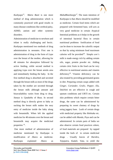

*Kashyapa*<sup>15</sup> . *Matra Basti* is one more method of drug administration which is commonly practiced with good results in many disease conditions like cerebral palsy, ADHD, autism and other systemic disorders.

Administration of medicine to newborn and infant is really challenging and hectic. *Kashyapa* mentioned two methods of drug administration in neonates. First one is administration of drug in the form of *Lepa*  over the breast of the mother, allowing for 48 minutes for absorption followed by active feeding, while second method is applying *Lepa* over the breast areola area and immediately feeding the baby. In the first method drug is absorbed and secreted through the breast milk as most of the drugs taken by the mother are secreted through the breast milk although amount and bioavailability varies from drug to drug. *Stanya* is *Upadathu* of *Rasa*. In second method drug is directly given to baby as sucking the breast milk makes the easy entry of medicine inside the baby along with breastmilk. When left the applied medicine for 48 minutes over the breast and breastmilk may acquire the medicinal properties <sup>16</sup>.

One more method of administration of medicine mentioned by *Kashyapa* is modification of *Ahara* as medicine. *Kashyapa* explained *Ahara* as

 $\mathcal{L}_\mathcal{L}$  , and the contribution of the contribution of the contribution of the contribution of the contribution of the contribution of the contribution of the contribution of the contribution of the contribution of

*MahaBhaishasjja*<sup>17</sup> . The main intention of *Kashyapa* is that *Ahara* should be modified as medicine. Certain food items which are prepared with fermented base, will acts as very good medicine in certain Atypical Intestinal problems as it helps in the growth of intestinal bacterial flora in certain nutritional problems fortification of food can be done to increase the calorific output so that by using minimum food maximum calories will be provided<sup>18</sup>. Simple cow's milk is made energy rich by adding certain oils, sugar, protein powder etc. Adding certain citric fruits in the food can be very effective in nutritional anemia and vitamin deficiency<sup>19</sup>. Vitamin deficiency can be also treated by providing germinated grains in diet. Preparing certain soups added with *Ginger, Coriander, Gralic, Pepper, Ela, Dalchini* etc are effective in cough and sputum conditions and URTI etc. Certain skin problems which require certain bitter drugs, the same can be administered by preparing its sweet chutney of drugs by using jaggery base. Leafs of certain drugs with medicinal property like *Rohitaka* etc. can be added with *Manda, Peya* and can be administered. In certain parts of India we also observe certain food practices where, of food materials are prepared by rapped inside the leafs of in certain medicinal drugs . Usually leaves of *Haridra, Tejopatra, Kadali, Vata,* to yield the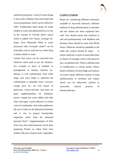

medicinal properties. *Twak* of certain drugs is also used as *Manda, Peya* and *Velepi* like cereal preparations which can be offered to child. Traditionally many drugs are made soluble in water and administered as we see in the concept of *Teertha* (Holy water) which is added with *Tulasi, Lavanga* etc. drugs. Even *Dhanyaka Hima* or water processed with *Coriander* seeds<sup>20</sup> can be externally used to wash the eye where drug is made soluble in water.

Certain fruit juices can be converted into medicine when used as per the situation. For example as juice of *Dadima* or pomegranate in anemia, diarrhea etc. Banana is rich carbohydrate food while sugar cane juice helps to replenish the carbohydrate in palatable form. Coconut, orange juice etc. are rich source of potassium. Carrot and beet -root juice are good supplementation for hematinic factors. Simple hot water added with little *Ghee* and sugar is quite effective in certain cases of constipation. *Ayurveda* emphasizes the use of *Takra* in all abdominal disorders and is rich in natural lactobacillus organisms which form the intestinal bacterial flora<sup>21</sup>. Supplementation of folic acid, iron, and certain minerals can be done preparing *Parota* on wheat flour base soaked with juice of green leafy vegetables.

## **CONCLUSION**

Hence by considering different references available in *Ayurveda* literature, different methods of drug administration in neonates and the infants has been explained here with. One should ensure that medicine is safe and predominantly with *Madhura* and *Kashaya Rasa* should be used with *Mridu* nature. Medicine should be palatable to the child and caution should be taken to ensure medicine is given in prescribed dose as chance of wastage is more when given in non- acceptable form. There is definite need of modification at certain points. Hence detail evaluation of knowledge and analysis of science opens different avenues of drug administration in newborn and infants which can be effectively utilized in Ayurvedic clinical practice of *Kaumarabhritya.*

 $\mathcal{L}_\mathcal{L}$  , and the contribution of the contribution of the contribution of the contribution of the contribution of the contribution of the contribution of the contribution of the contribution of the contribution of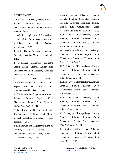

### **REFERENCES**

1 Shri Satyapal Bhishagacharya, *Kashyap Samhita*, Edition Reprint 2013, Choukhmbha Sanskrit Series, Varanasi, *Vimana Sthana*, P- 61.

2. Meharban singh, care of the newborn, seventh edition 2010, Sagar printers and publisher, new delhi,, Perinatal pharmacology, P-76.

3. AMH Children's Dose Companion. Adelaide: Australian Medicines Handbook; 2016.

4. Gorkhanath Chaturvedi, Kasinatha Sasatri, Charaka Samhita, Edition 2011 Choukhambha Bharti Academy, Chikitsaa sthana 30/282, P-878.

5. Dr. Shrimati Shailaja shrivastava,Sharngdhara Samhita, Edition Reprint 2011, Choukhmbha orientalia, Varanasi, Purvakhanda 6/13, P-53.

6. Shri Satyapal Bhishagacharya, *Kashyap Samhita*, Edition Reprint 2013, Choukhmbha Sanskrit Series, Varanasi, *Khila Sthana 3/48*, P- 244.

7. KE Elizabeth, Nutrition and child development, 4thEdition 2010,Paras medical publisher, Hyderabad, Applied nutrition, P-147.

8. Shri Satyapal Bhishagacharya, *Kashyap Samhita*, Edition Reprint 2013, Choukhmbha Sanskrit Series, Varanasi, *Sutra Sthana 27/66*, P- 46.

 $\mathcal{L}_\mathcal{L}$  , and the contribution of the contribution of the contribution of the contribution of the contribution of the contribution of the contribution of the contribution of the contribution of the contribution of

9.Vaidya yadavji trikamaji Acharya, Charaka Samhita, Shrichakra panidatta virachita Ayurveda dipikavib hushita, Edition 2011 Choukhambha Bharti Academy, Chikitsaa sthana 30/283, P-645. 10. Shri Satyapal Bhishagacharya, *Kashyap Samhita*, Edition Reprint 2013, Choukhmbha Sanskrit Series, Varanasi, *Sutra Sthana 27/66*, P- 46.

11. Kaviraj Atrideva Gupta, Ashtanga Hrudyam, , Edition Reprint 2016, Choukhmbha Prakashana, Varanasi, Uttara Sthan 2/31-34, P- 622.

12. Shri Satyapal Bhishagacharya, *Kashyap Samhita*, Edition Reprint 2013, Choukhmbha Sanskrit Series, Varanasi, *Siddhi Sthana 1*, P- 147.

13. Shri Satyapal Bhishagacharya, *Kashyap Samhita*, Edition Reprint 2013, Choukhmbha Sanskrit Series, Varanasi, *Siddhi Sthana 3*, P- 154.

14. Shri Satyapal Bhishagacharya, *Kashyap Samhita*, Edition Reprint 2013, Choukhmbha Sanskrit Series, Varanasi, *Siddhi Sthana 3*, P- 156.

15. Shri Satyapal Bhishagacharya, *Kashyap Samhita*, Edition Reprint 2013, Choukhmbha Sanskrit Series, Varanasi, *Siddhi Sthana 4*, P- 161.

16. Kaviraj Atrideva Gupta, Ashtanga Hrudyam, , Edition Reprint 2016, Choukhmbha Prakashana, Varanasi, Uttara Sthan 2/77, P- 627.